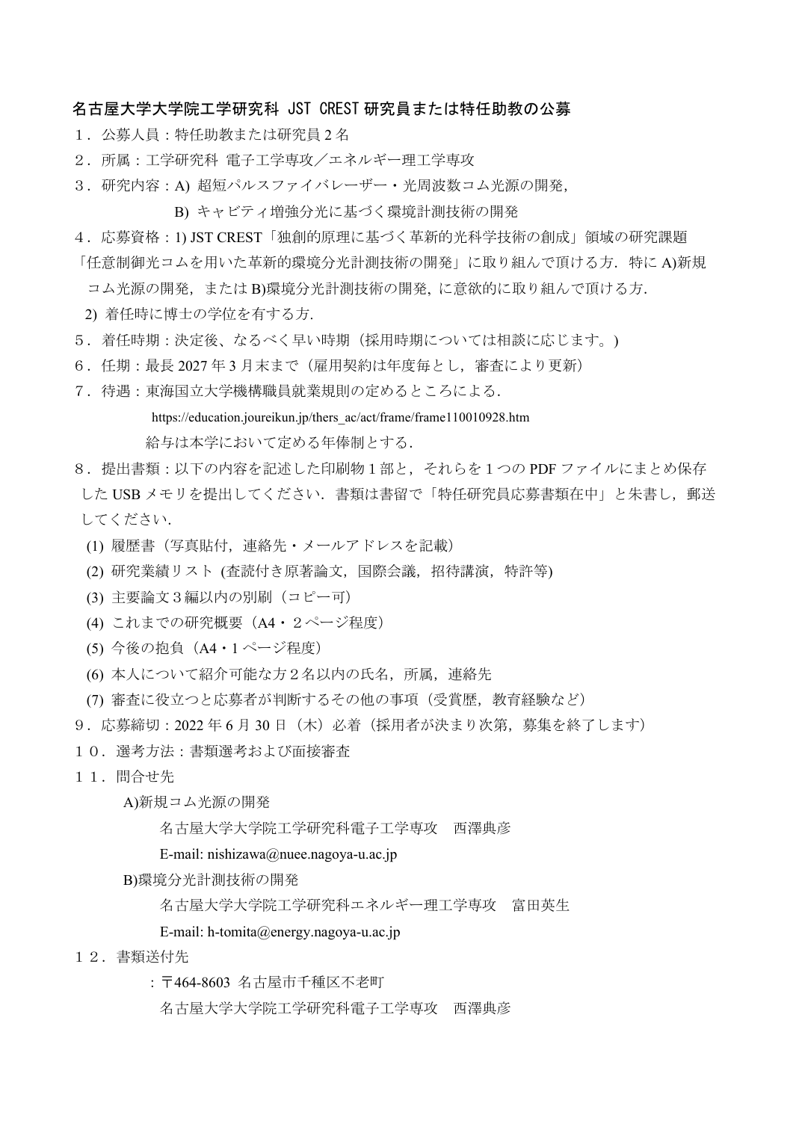## 名古屋大学大学院工学研究科 JST CREST 研究員または特任助教の公募

- 1.公募人員:特任助教または研究員 2 名
- 2.所属:工学研究科 電子工学専攻/エネルギー理工学専攻
- 3.研究内容:A) 超短パルスファイバレーザー・光周波数コム光源の開発,
	- B) キャビティ増強分光に基づく環境計測技術の開発
- 4.応募資格:1) JST CREST「独創的原理に基づく革新的光科学技術の創成」領域の研究課題
- 「任意制御光コムを用いた革新的環境分光計測技術の開発」に取り組んで頂ける方. 特に A)新規
	- コム光源の開発,または B)環境分光計測技術の開発, に意欲的に取り組んで頂ける方.
- 2) 着任時に博士の学位を有する方.
- 5. 着任時期:決定後、なるべく早い時期(採用時期については相談に応じます。)
- 6.任期:最長 2027 年 3 月末まで(雇用契約は年度毎とし,審査により更新)
- 7.待遇:東海国立大学機構職員就業規則の定めるところによる.

https://education.joureikun.jp/thers\_ac/act/frame/frame110010928.htm

給与は本学において定める年俸制とする.

- 8.提出書類:以下の内容を記述した印刷物1部と,それらを1つの PDF ファイルにまとめ保存 した USB メモリを提出してください. 書類は書留で「特任研究員応募書類在中」と朱書し、郵送 してください.
	- (1) 履歴書(写真貼付,連絡先・メールアドレスを記載)
	- (2) 研究業績リスト (査読付き原著論文,国際会議,招待講演,特許等)
	- (3) 主要論文3編以内の別刷(コピー可)
	- (4) これまでの研究概要(A4・2ページ程度)
	- (5) 今後の抱負(A4・1 ページ程度)
	- (6) 本人について紹介可能な方2名以内の氏名,所属,連絡先
- (7) 審査に役立つと応募者が判断するその他の事項(受賞歴,教育経験など)
- 9. 応募締切: 2022年6月30日 (木) 必着(採用者が決まり次第、募集を終了します)
- 10.選考方法:書類選考および面接審査
- 11.問合せ先
	- A)新規コム光源の開発

名古屋大学大学院工学研究科電子工学専攻 西澤典彦

- E-mail: nishizawa@nuee.nagoya-u.ac.jp
- B)環境分光計測技術の開発
	- 名古屋大学大学院工学研究科エネルギー理工学専攻 富田英生

E-mail: h-tomita@energy.nagoya-u.ac.jp

- 12.書類送付先
	- :〒464-8603 名古屋市千種区不老町
		- 名古屋大学大学院工学研究科電子工学専攻 西澤典彦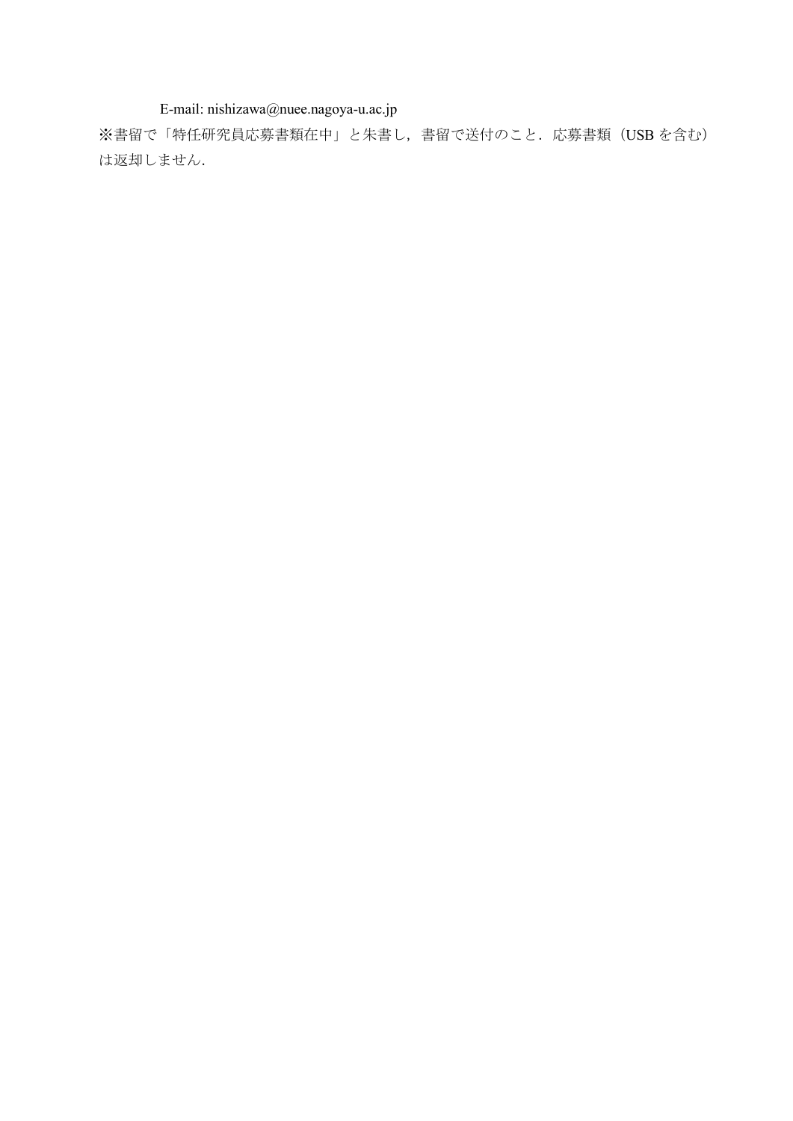E-mail: nishizawa@nuee.nagoya-u.ac.jp

※書留で「特任研究員応募書類在中」と朱書し,書留で送付のこと. 応募書類 (USB を含む) は返却しません.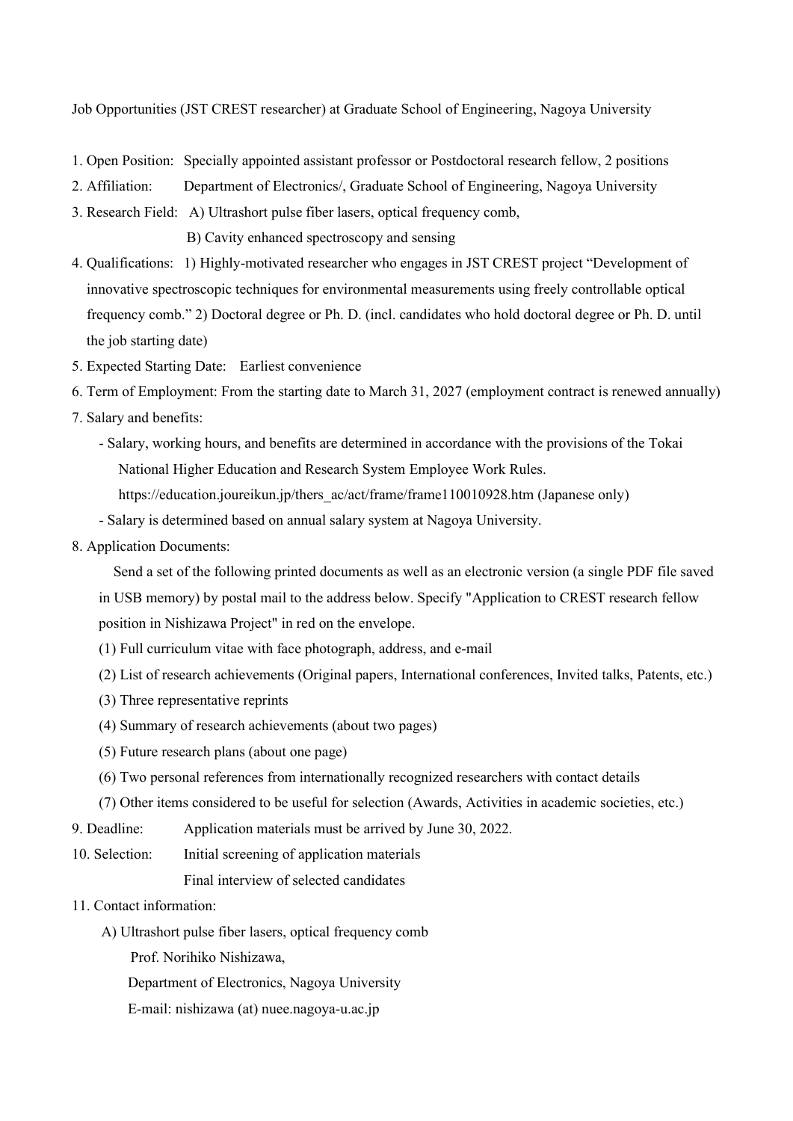Job Opportunities (JST CREST researcher) at Graduate School of Engineering, Nagoya University

- 1. Open Position: Specially appointed assistant professor or Postdoctoral research fellow, 2 positions
- 2. Affiliation: Department of Electronics/, Graduate School of Engineering, Nagoya University
- 3. Research Field: A) Ultrashort pulse fiber lasers, optical frequency comb, B) Cavity enhanced spectroscopy and sensing
- 4. Qualifications: 1) Highly-motivated researcher who engages in JST CREST project "Development of innovative spectroscopic techniques for environmental measurements using freely controllable optical frequency comb." 2) Doctoral degree or Ph. D. (incl. candidates who hold doctoral degree or Ph. D. until the job starting date)
- 5. Expected Starting Date: Earliest convenience
- 6. Term of Employment: From the starting date to March 31, 2027 (employment contract is renewed annually)
- 7. Salary and benefits:
	- Salary, working hours, and benefits are determined in accordance with the provisions of the Tokai National Higher Education and Research System Employee Work Rules. https://education.joureikun.jp/thers\_ac/act/frame/frame110010928.htm (Japanese only)
	- Salary is determined based on annual salary system at Nagoya University.
- 8. Application Documents:

Send a set of the following printed documents as well as an electronic version (a single PDF file saved

in USB memory) by postal mail to the address below. Specify "Application to CREST research fellow position in Nishizawa Project" in red on the envelope.

- (1) Full curriculum vitae with face photograph, address, and e-mail
- (2) List of research achievements (Original papers, International conferences, Invited talks, Patents, etc.)
- (3) Three representative reprints
- (4) Summary of research achievements (about two pages)
- (5) Future research plans (about one page)
- (6) Two personal references from internationally recognized researchers with contact details

(7) Other items considered to be useful for selection (Awards, Activities in academic societies, etc.)

- 9. Deadline: Application materials must be arrived by June 30, 2022.
- 10. Selection: Initial screening of application materials

Final interview of selected candidates

- 11. Contact information:
	- A) Ultrashort pulse fiber lasers, optical frequency comb

Prof. Norihiko Nishizawa,

Department of Electronics, Nagoya University

E-mail: nishizawa (at) nuee.nagoya-u.ac.jp